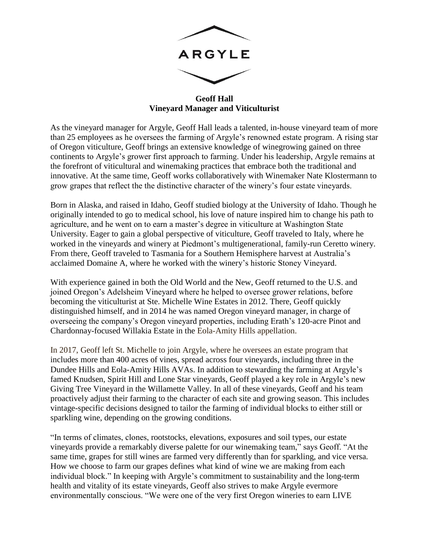

**Geoff Hall Vineyard Manager and Viticulturist**

As the vineyard manager for Argyle, Geoff Hall leads a talented, in-house vineyard team of more than 25 employees as he oversees the farming of Argyle's renowned estate program. A rising star of Oregon viticulture, Geoff brings an extensive knowledge of winegrowing gained on three continents to Argyle's grower first approach to farming. Under his leadership, Argyle remains at the forefront of viticultural and winemaking practices that embrace both the traditional and innovative. At the same time, Geoff works collaboratively with Winemaker Nate Klostermann to grow grapes that reflect the the distinctive character of the winery's four estate vineyards.

Born in Alaska, and raised in Idaho, Geoff studied biology at the University of Idaho. Though he originally intended to go to medical school, his love of nature inspired him to change his path to agriculture, and he went on to earn a master's degree in viticulture at Washington State University. Eager to gain a global perspective of viticulture, Geoff traveled to Italy, where he worked in the vineyards and winery at Piedmont's multigenerational, family-run Ceretto winery. From there, Geoff traveled to Tasmania for a Southern Hemisphere harvest at Australia's acclaimed Domaine A, where he worked with the winery's historic Stoney Vineyard.

With experience gained in both the Old World and the New, Geoff returned to the U.S. and joined Oregon's Adelsheim Vineyard where he helped to oversee grower relations, before becoming the viticulturist at Ste. Michelle Wine Estates in 2012. There, Geoff quickly distinguished himself, and in 2014 he was named Oregon vineyard manager, in charge of overseeing the company's Oregon vineyard properties, including Erath's 120-acre Pinot and Chardonnay-focused Willakia Estate in the Eola-Amity Hills appellation.

In 2017, Geoff left St. Michelle to join Argyle, where he oversees an estate program that includes more than 400 acres of vines, spread across four vineyards, including three in the Dundee Hills and Eola-Amity Hills AVAs. In addition to stewarding the farming at Argyle's famed Knudsen, Spirit Hill and Lone Star vineyards, Geoff played a key role in Argyle's new Giving Tree Vineyard in the Willamette Valley. In all of these vineyards, Geoff and his team proactively adjust their farming to the character of each site and growing season. This includes vintage-specific decisions designed to tailor the farming of individual blocks to either still or sparkling wine, depending on the growing conditions.

"In terms of climates, clones, rootstocks, elevations, exposures and soil types, our estate vineyards provide a remarkably diverse palette for our winemaking team," says Geoff. "At the same time, grapes for still wines are farmed very differently than for sparkling, and vice versa. How we choose to farm our grapes defines what kind of wine we are making from each individual block." In keeping with Argyle's commitment to sustainability and the long-term health and vitality of its estate vineyards, Geoff also strives to make Argyle evermore environmentally conscious. "We were one of the very first Oregon wineries to earn LIVE